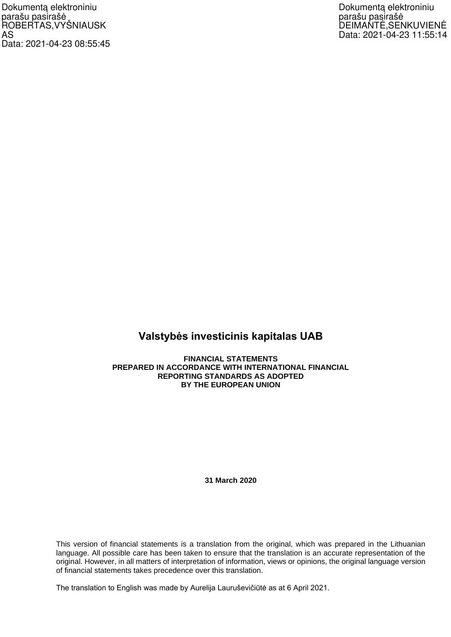Dokumentą elektroniniu parašu pasirašė ROBERTAS,VYŠNIAUSK AS Data: 2021-04-23 08:55:45 Dokumentą elektroniniu parašu pasirašė DEIMANTĖ,SENKUVIENĖ Data: 2021-04-23 11:55:14

# **Valstybės investicinis kapitalas UAB**

#### **FINANCIAL STATEMENTS PREPARED IN ACCORDANCE WITH INTERNATIONAL FINANCIAL REPORTING STANDARDS AS ADOPTED BY THE EUROPEAN UNION**

### **31 March 2020**

This version of financial statements is a translation from the original, which was prepared in the Lithuanian language. All possible care has been taken to ensure that the translation is an accurate representation of the original. However, in all matters of interpretation of information, views or opinions, the original language version of financial statements takes precedence over this translation.

The translation to English was made by Aurelija Lauruševičiūtė as at 6 April 2021.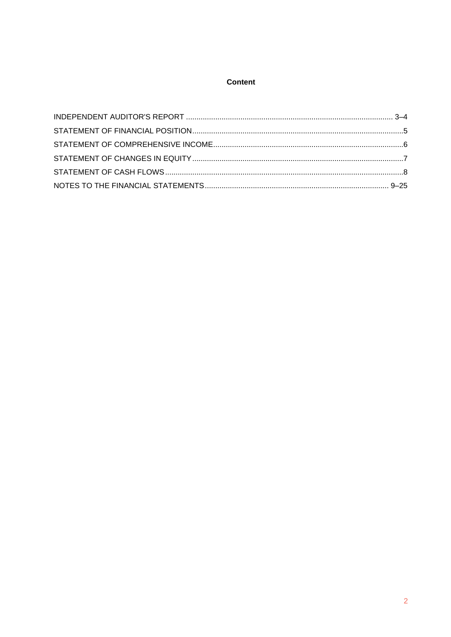# **Content**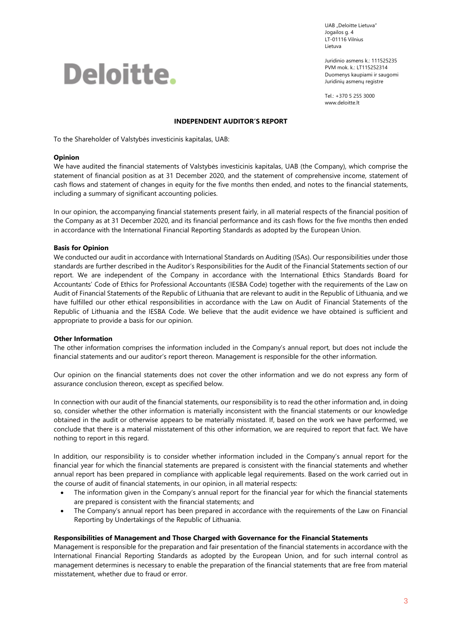

UAB "Deloitte Lietuva" Jogailos g. 4 LT-01116 Vilnius Lietuva

Juridinio asmens k.: 111525235 PVM mok. k.: LT115252314 Duomenys kaupiami ir saugomi Juridinių asmenų registre

Tel.: +370 5 255 3000 www.deloitte.lt

#### **INDEPENDENT AUDITOR'S REPORT**

To the Shareholder of Valstybės investicinis kapitalas, UAB:

#### **Opinion**

We have audited the financial statements of Valstybės investicinis kapitalas, UAB (the Company), which comprise the statement of financial position as at 31 December 2020, and the statement of comprehensive income, statement of cash flows and statement of changes in equity for the five months then ended, and notes to the financial statements, including a summary of significant accounting policies.

In our opinion, the accompanying financial statements present fairly, in all material respects of the financial position of the Company as at 31 December 2020, and its financial performance and its cash flows for the five months then ended in accordance with the International Financial Reporting Standards as adopted by the European Union.

#### **Basis for Opinion**

We conducted our audit in accordance with International Standards on Auditing (ISAs). Our responsibilities under those standards are further described in the Auditor's Responsibilities for the Audit of the Financial Statements section of our report. We are independent of the Company in accordance with the International Ethics Standards Board for Accountants' Code of Ethics for Professional Accountants (IESBA Code) together with the requirements of the Law on Audit of Financial Statements of the Republic of Lithuania that are relevant to audit in the Republic of Lithuania, and we have fulfilled our other ethical responsibilities in accordance with the Law on Audit of Financial Statements of the Republic of Lithuania and the IESBA Code. We believe that the audit evidence we have obtained is sufficient and appropriate to provide a basis for our opinion.

#### **Other Information**

The other information comprises the information included in the Company's annual report, but does not include the financial statements and our auditor's report thereon. Management is responsible for the other information.

Our opinion on the financial statements does not cover the other information and we do not express any form of assurance conclusion thereon, except as specified below.

In connection with our audit of the financial statements, our responsibility is to read the other information and, in doing so, consider whether the other information is materially inconsistent with the financial statements or our knowledge obtained in the audit or otherwise appears to be materially misstated. If, based on the work we have performed, we conclude that there is a material misstatement of this other information, we are required to report that fact. We have nothing to report in this regard.

In addition, our responsibility is to consider whether information included in the Company's annual report for the financial year for which the financial statements are prepared is consistent with the financial statements and whether annual report has been prepared in compliance with applicable legal requirements. Based on the work carried out in the course of audit of financial statements, in our opinion, in all material respects:

- The information given in the Company's annual report for the financial year for which the financial statements are prepared is consistent with the financial statements; and
- The Company's annual report has been prepared in accordance with the requirements of the Law on Financial Reporting by Undertakings of the Republic of Lithuania.

#### **Responsibilities of Management and Those Charged with Governance for the Financial Statements**

Management is responsible for the preparation and fair presentation of the financial statements in accordance with the International Financial Reporting Standards as adopted by the European Union, and for such internal control as management determines is necessary to enable the preparation of the financial statements that are free from material misstatement, whether due to fraud or error.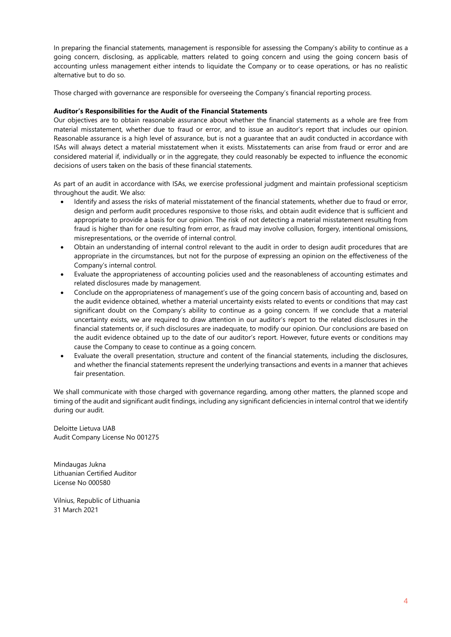In preparing the financial statements, management is responsible for assessing the Company's ability to continue as a going concern, disclosing, as applicable, matters related to going concern and using the going concern basis of accounting unless management either intends to liquidate the Company or to cease operations, or has no realistic alternative but to do so.

Those charged with governance are responsible for overseeing the Company's financial reporting process.

#### **Auditor's Responsibilities for the Audit of the Financial Statements**

Our objectives are to obtain reasonable assurance about whether the financial statements as a whole are free from material misstatement, whether due to fraud or error, and to issue an auditor's report that includes our opinion. Reasonable assurance is a high level of assurance, but is not a guarantee that an audit conducted in accordance with ISAs will always detect a material misstatement when it exists. Misstatements can arise from fraud or error and are considered material if, individually or in the aggregate, they could reasonably be expected to influence the economic decisions of users taken on the basis of these financial statements.

As part of an audit in accordance with ISAs, we exercise professional judgment and maintain professional scepticism throughout the audit. We also:

- Identify and assess the risks of material misstatement of the financial statements, whether due to fraud or error, design and perform audit procedures responsive to those risks, and obtain audit evidence that is sufficient and appropriate to provide a basis for our opinion. The risk of not detecting a material misstatement resulting from fraud is higher than for one resulting from error, as fraud may involve collusion, forgery, intentional omissions, misrepresentations, or the override of internal control.
- Obtain an understanding of internal control relevant to the audit in order to design audit procedures that are appropriate in the circumstances, but not for the purpose of expressing an opinion on the effectiveness of the Company's internal control.
- Evaluate the appropriateness of accounting policies used and the reasonableness of accounting estimates and related disclosures made by management.
- Conclude on the appropriateness of management's use of the going concern basis of accounting and, based on the audit evidence obtained, whether a material uncertainty exists related to events or conditions that may cast significant doubt on the Company's ability to continue as a going concern. If we conclude that a material uncertainty exists, we are required to draw attention in our auditor's report to the related disclosures in the financial statements or, if such disclosures are inadequate, to modify our opinion. Our conclusions are based on the audit evidence obtained up to the date of our auditor's report. However, future events or conditions may cause the Company to cease to continue as a going concern.
- Evaluate the overall presentation, structure and content of the financial statements, including the disclosures, and whether the financial statements represent the underlying transactions and events in a manner that achieves fair presentation.

We shall communicate with those charged with governance regarding, among other matters, the planned scope and timing of the audit and significant audit findings, including any significant deficiencies in internal control that we identify during our audit.

Deloitte Lietuva UAB Audit Company License No 001275

Mindaugas Jukna Lithuanian Certified Auditor License No 000580

Vilnius, Republic of Lithuania 31 March 2021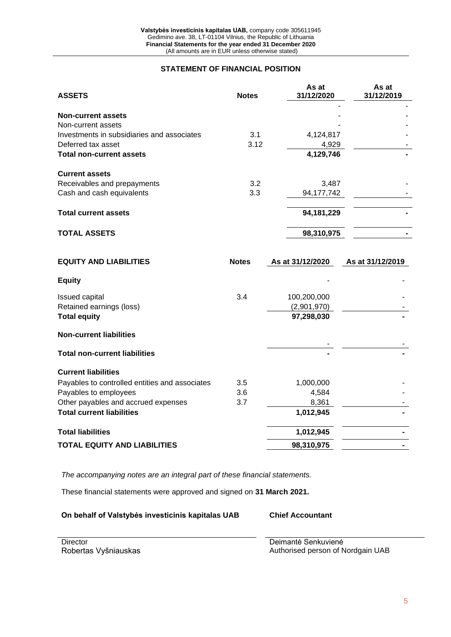### **STATEMENT OF FINANCIAL POSITION**

| <b>ASSETS</b>                                  | <b>Notes</b> | As at<br>31/12/2020 | As at<br>31/12/2019 |
|------------------------------------------------|--------------|---------------------|---------------------|
| <b>Non-current assets</b>                      |              |                     |                     |
| Non-current assets                             |              |                     |                     |
| Investments in subsidiaries and associates     | 3.1          | 4,124,817           |                     |
| Deferred tax asset                             | 3.12         | 4,929               |                     |
| <b>Total non-current assets</b>                |              | 4,129,746           |                     |
| <b>Current assets</b>                          |              |                     |                     |
| Receivables and prepayments                    | 3.2          | 3,487               |                     |
| Cash and cash equivalents                      | 3.3          | 94, 177, 742        |                     |
| <b>Total current assets</b>                    |              | 94,181,229          |                     |
| <b>TOTAL ASSETS</b>                            |              | 98,310,975          |                     |
| <b>EQUITY AND LIABILITIES</b>                  | <b>Notes</b> | As at 31/12/2020    | As at 31/12/2019    |
| <b>Equity</b>                                  |              |                     |                     |
| <b>Issued capital</b>                          | 3.4          | 100,200,000         |                     |
| Retained earnings (loss)                       |              | (2,901,970)         |                     |
| <b>Total equity</b>                            |              | 97,298,030          |                     |
| <b>Non-current liabilities</b>                 |              |                     |                     |
| <b>Total non-current liabilities</b>           |              |                     |                     |
| <b>Current liabilities</b>                     |              |                     |                     |
| Payables to controlled entities and associates | 3.5          | 1,000,000           |                     |
| Payables to employees                          | 3.6          | 4,584               |                     |
| Other payables and accrued expenses            | 3.7          | 8,361               |                     |
| <b>Total current liabilities</b>               |              | 1,012,945           |                     |
| <b>Total liabilities</b>                       |              | 1,012,945           |                     |
| <b>TOTAL EQUITY AND LIABILITIES</b>            |              | 98,310,975          |                     |

*The accompanying notes are an integral part of these financial statements.*

These financial statements were approved and signed on **31 March 2021.**

**On behalf of Valstybės investicinis kapitalas UAB Chief Accountant**

**Director** Robertas Vyšniauskas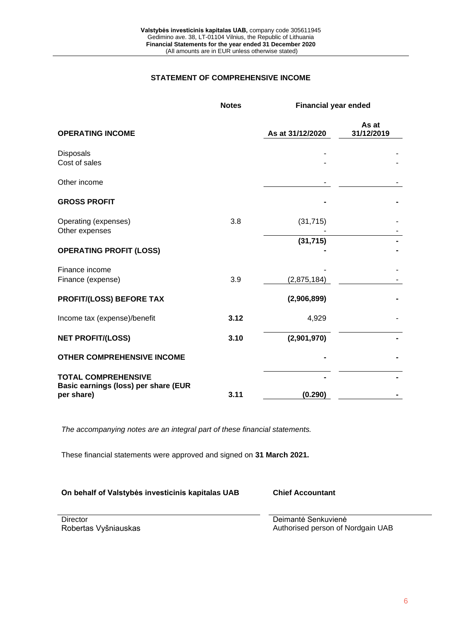# **STATEMENT OF COMPREHENSIVE INCOME**

|                                                                                  | <b>Notes</b> | <b>Financial year ended</b> |                     |
|----------------------------------------------------------------------------------|--------------|-----------------------------|---------------------|
| <b>OPERATING INCOME</b>                                                          |              | As at 31/12/2020            | As at<br>31/12/2019 |
| <b>Disposals</b><br>Cost of sales                                                |              |                             |                     |
| Other income                                                                     |              |                             |                     |
| <b>GROSS PROFIT</b>                                                              |              |                             |                     |
| Operating (expenses)<br>Other expenses                                           | 3.8          | (31, 715)                   |                     |
| <b>OPERATING PROFIT (LOSS)</b>                                                   |              | (31, 715)                   |                     |
| Finance income<br>Finance (expense)                                              | 3.9          | (2,875,184)                 |                     |
| <b>PROFIT/(LOSS) BEFORE TAX</b>                                                  |              | (2,906,899)                 |                     |
| Income tax (expense)/benefit                                                     | 3.12         | 4,929                       |                     |
| <b>NET PROFIT/(LOSS)</b>                                                         | 3.10         | (2,901,970)                 |                     |
| <b>OTHER COMPREHENSIVE INCOME</b>                                                |              |                             |                     |
| <b>TOTAL COMPREHENSIVE</b><br>Basic earnings (loss) per share (EUR<br>per share) | 3.11         | (0.290)                     |                     |

*The accompanying notes are an integral part of these financial statements.*

These financial statements were approved and signed on **31 March 2021.**

# **On behalf of Valstybės investicinis kapitalas UAB Chief Accountant**

**Director** Robertas Vyšniauskas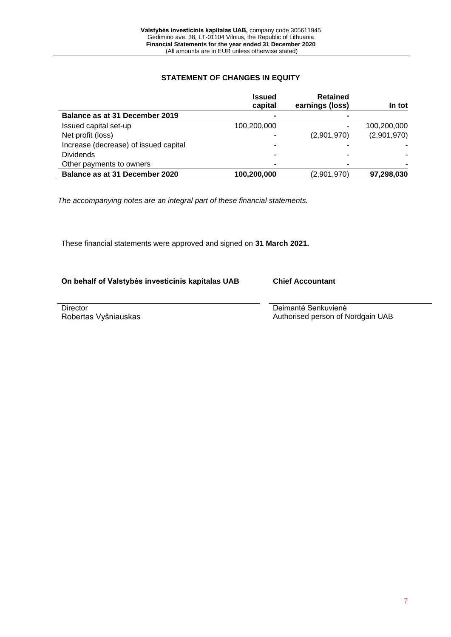# **STATEMENT OF CHANGES IN EQUITY**

|                                       | <b>Issued</b>  | <b>Retained</b> |             |
|---------------------------------------|----------------|-----------------|-------------|
|                                       | capital        | earnings (loss) | In tot      |
| Balance as at 31 December 2019        | $\blacksquare$ | ۰               |             |
| Issued capital set-up                 | 100,200,000    |                 | 100,200,000 |
| Net profit (loss)                     |                | (2,901,970)     | (2,901,970) |
| Increase (decrease) of issued capital |                |                 |             |
| <b>Dividends</b>                      |                |                 |             |
| Other payments to owners              |                |                 |             |
| Balance as at 31 December 2020        | 100,200,000    | (2,901,970)     | 97,298,030  |

*The accompanying notes are an integral part of these financial statements.*

These financial statements were approved and signed on **31 March 2021.**

# **On behalf of Valstybės investicinis kapitalas UAB Chief Accountant**

**Director** Robertas Vyšniauskas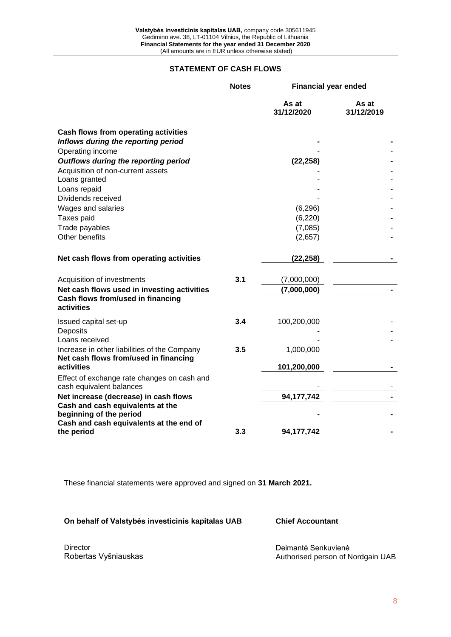### **STATEMENT OF CASH FLOWS**

|                                                                         | <b>Notes</b> | <b>Financial year ended</b> |                     |
|-------------------------------------------------------------------------|--------------|-----------------------------|---------------------|
|                                                                         |              | As at<br>31/12/2020         | As at<br>31/12/2019 |
| Cash flows from operating activities                                    |              |                             |                     |
| Inflows during the reporting period                                     |              |                             |                     |
| Operating income                                                        |              |                             |                     |
| Outflows during the reporting period                                    |              | (22, 258)                   |                     |
| Acquisition of non-current assets<br>Loans granted                      |              |                             |                     |
| Loans repaid                                                            |              |                             |                     |
| Dividends received                                                      |              |                             |                     |
| Wages and salaries                                                      |              | (6, 296)                    |                     |
| Taxes paid                                                              |              | (6, 220)                    |                     |
| Trade payables                                                          |              | (7,085)                     |                     |
| Other benefits                                                          |              | (2,657)                     |                     |
| Net cash flows from operating activities                                |              | (22, 258)                   |                     |
| Acquisition of investments                                              | 3.1          | (7,000,000)                 |                     |
| Net cash flows used in investing activities                             |              | (7,000,000)                 |                     |
| Cash flows from/used in financing<br>activities                         |              |                             |                     |
| Issued capital set-up                                                   | 3.4          | 100,200,000                 |                     |
| Deposits                                                                |              |                             |                     |
| Loans received<br>Increase in other liabilities of the Company          | 3.5          | 1,000,000                   |                     |
| Net cash flows from/used in financing                                   |              |                             |                     |
| activities                                                              |              | 101,200,000                 |                     |
| Effect of exchange rate changes on cash and<br>cash equivalent balances |              |                             |                     |
| Net increase (decrease) in cash flows                                   |              | 94,177,742                  |                     |
| Cash and cash equivalents at the                                        |              |                             |                     |
| beginning of the period<br>Cash and cash equivalents at the end of      |              |                             |                     |
| the period                                                              | 3.3          | 94,177,742                  |                     |

These financial statements were approved and signed on **31 March 2021.**

# **On behalf of Valstybės investicinis kapitalas UAB Chief Accountant**

**Director** Robertas Vyšniauskas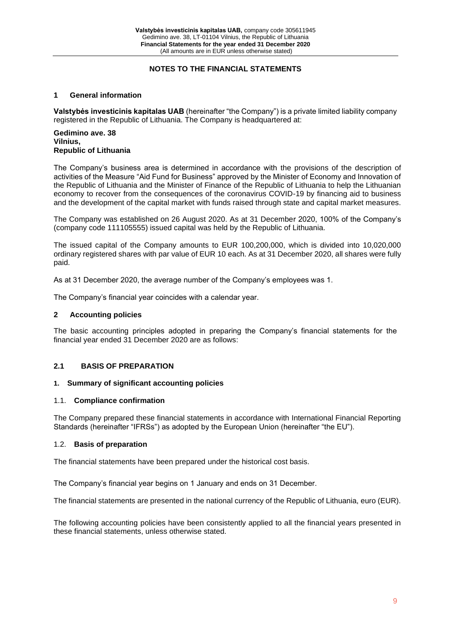# **NOTES TO THE FINANCIAL STATEMENTS**

### **1 General information**

**Valstybės investicinis kapitalas UAB** (hereinafter "the Company") is a private limited liability company registered in the Republic of Lithuania. The Company is headquartered at:

#### **Gedimino ave. 38 Vilnius, Republic of Lithuania**

The Company's business area is determined in accordance with the provisions of the description of activities of the Measure "Aid Fund for Business" approved by the Minister of Economy and Innovation of the Republic of Lithuania and the Minister of Finance of the Republic of Lithuania to help the Lithuanian economy to recover from the consequences of the coronavirus COVID-19 by financing aid to business and the development of the capital market with funds raised through state and capital market measures.

The Company was established on 26 August 2020. As at 31 December 2020, 100% of the Company's (company code 111105555) issued capital was held by the Republic of Lithuania.

The issued capital of the Company amounts to EUR 100,200,000, which is divided into 10,020,000 ordinary registered shares with par value of EUR 10 each. As at 31 December 2020, all shares were fully paid.

As at 31 December 2020, the average number of the Company's employees was 1.

The Company's financial year coincides with a calendar year.

#### **2 Accounting policies**

The basic accounting principles adopted in preparing the Company's financial statements for the financial year ended 31 December 2020 are as follows:

### **2.1 BASIS OF PREPARATION**

#### **1. Summary of significant accounting policies**

#### 1.1. **Compliance confirmation**

The Company prepared these financial statements in accordance with International Financial Reporting Standards (hereinafter "IFRSs") as adopted by the European Union (hereinafter "the EU").

#### 1.2. **Basis of preparation**

The financial statements have been prepared under the historical cost basis.

The Company's financial year begins on 1 January and ends on 31 December.

The financial statements are presented in the national currency of the Republic of Lithuania, euro (EUR).

The following accounting policies have been consistently applied to all the financial years presented in these financial statements, unless otherwise stated.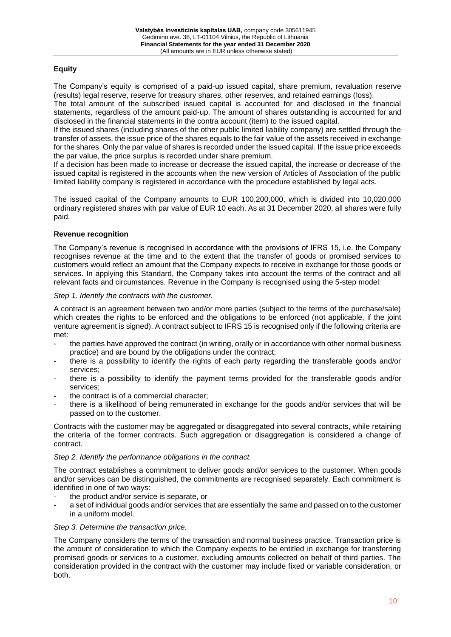# **Equity**

The Company's equity is comprised of a paid-up issued capital, share premium, revaluation reserve (results) legal reserve, reserve for treasury shares, other reserves, and retained earnings (loss).

The total amount of the subscribed issued capital is accounted for and disclosed in the financial statements, regardless of the amount paid-up. The amount of shares outstanding is accounted for and disclosed in the financial statements in the contra account (item) to the issued capital.

If the issued shares (including shares of the other public limited liability company) are settled through the transfer of assets, the issue price of the shares equals to the fair value of the assets received in exchange for the shares. Only the par value of shares is recorded under the issued capital. If the issue price exceeds the par value, the price surplus is recorded under share premium.

If a decision has been made to increase or decrease the issued capital, the increase or decrease of the issued capital is registered in the accounts when the new version of Articles of Association of the public limited liability company is registered in accordance with the procedure established by legal acts.

The issued capital of the Company amounts to EUR 100,200,000, which is divided into 10,020,000 ordinary registered shares with par value of EUR 10 each. As at 31 December 2020, all shares were fully paid.

#### **Revenue recognition**

The Company's revenue is recognised in accordance with the provisions of IFRS 15, i.e. the Company recognises revenue at the time and to the extent that the transfer of goods or promised services to customers would reflect an amount that the Company expects to receive in exchange for those goods or services. In applying this Standard, the Company takes into account the terms of the contract and all relevant facts and circumstances. Revenue in the Company is recognised using the 5-step model:

#### *Step 1. Identify the contracts with the customer.*

A contract is an agreement between two and/or more parties (subject to the terms of the purchase/sale) which creates the rights to be enforced and the obligations to be enforced (not applicable, if the joint venture agreement is signed). A contract subject to IFRS 15 is recognised only if the following criteria are met:

- the parties have approved the contract (in writing, orally or in accordance with other normal business practice) and are bound by the obligations under the contract;
- there is a possibility to identify the rights of each party regarding the transferable goods and/or services;
- there is a possibility to identify the payment terms provided for the transferable goods and/or services;
- the contract is of a commercial character;
- there is a likelihood of being remunerated in exchange for the goods and/or services that will be passed on to the customer.

Contracts with the customer may be aggregated or disaggregated into several contracts, while retaining the criteria of the former contracts. Such aggregation or disaggregation is considered a change of contract.

### *Step 2. Identify the performance obligations in the contract.*

The contract establishes a commitment to deliver goods and/or services to the customer. When goods and/or services can be distinguished, the commitments are recognised separately. Each commitment is identified in one of two ways:

- the product and/or service is separate, or
- a set of individual goods and/or services that are essentially the same and passed on to the customer in a uniform model.

### *Step 3. Determine the transaction price.*

The Company considers the terms of the transaction and normal business practice. Transaction price is the amount of consideration to which the Company expects to be entitled in exchange for transferring promised goods or services to a customer, excluding amounts collected on behalf of third parties. The consideration provided in the contract with the customer may include fixed or variable consideration, or both.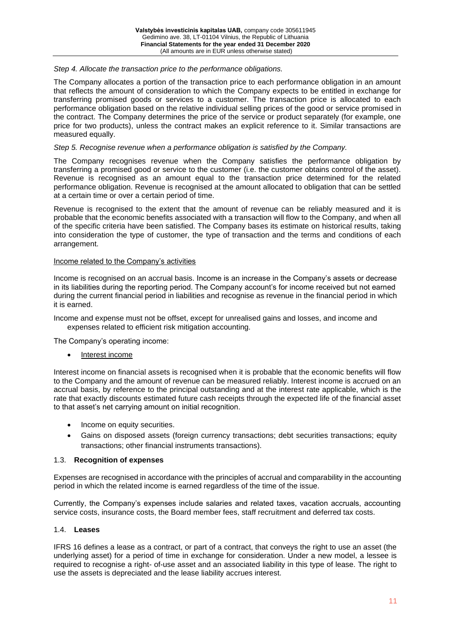### *Step 4. Allocate the transaction price to the performance obligations.*

The Company allocates a portion of the transaction price to each performance obligation in an amount that reflects the amount of consideration to which the Company expects to be entitled in exchange for transferring promised goods or services to a customer. The transaction price is allocated to each performance obligation based on the relative individual selling prices of the good or service promised in the contract. The Company determines the price of the service or product separately (for example, one price for two products), unless the contract makes an explicit reference to it. Similar transactions are measured equally.

#### *Step 5. Recognise revenue when a performance obligation is satisfied by the Company.*

The Company recognises revenue when the Company satisfies the performance obligation by transferring a promised good or service to the customer (i.e. the customer obtains control of the asset). Revenue is recognised as an amount equal to the transaction price determined for the related performance obligation. Revenue is recognised at the amount allocated to obligation that can be settled at a certain time or over a certain period of time.

Revenue is recognised to the extent that the amount of revenue can be reliably measured and it is probable that the economic benefits associated with a transaction will flow to the Company, and when all of the specific criteria have been satisfied. The Company bases its estimate on historical results, taking into consideration the type of customer, the type of transaction and the terms and conditions of each arrangement.

#### Income related to the Company's activities

Income is recognised on an accrual basis. Income is an increase in the Company's assets or decrease in its liabilities during the reporting period. The Company account's for income received but not earned during the current financial period in liabilities and recognise as revenue in the financial period in which it is earned.

Income and expense must not be offset, except for unrealised gains and losses, and income and expenses related to efficient risk mitigation accounting.

The Company's operating income:

• Interest income

Interest income on financial assets is recognised when it is probable that the economic benefits will flow to the Company and the amount of revenue can be measured reliably. Interest income is accrued on an accrual basis, by reference to the principal outstanding and at the interest rate applicable, which is the rate that exactly discounts estimated future cash receipts through the expected life of the financial asset to that asset's net carrying amount on initial recognition.

- Income on equity securities.
- Gains on disposed assets (foreign currency transactions; debt securities transactions; equity transactions; other financial instruments transactions).

#### 1.3. **Recognition of expenses**

Expenses are recognised in accordance with the principles of accrual and comparability in the accounting period in which the related income is earned regardless of the time of the issue.

Currently, the Company's expenses include salaries and related taxes, vacation accruals, accounting service costs, insurance costs, the Board member fees, staff recruitment and deferred tax costs.

#### 1.4. **Leases**

IFRS 16 defines a lease as a contract, or part of a contract, that conveys the right to use an asset (the underlying asset) for a period of time in exchange for consideration. Under a new model, a lessee is required to recognise a right- of-use asset and an associated liability in this type of lease. The right to use the assets is depreciated and the lease liability accrues interest.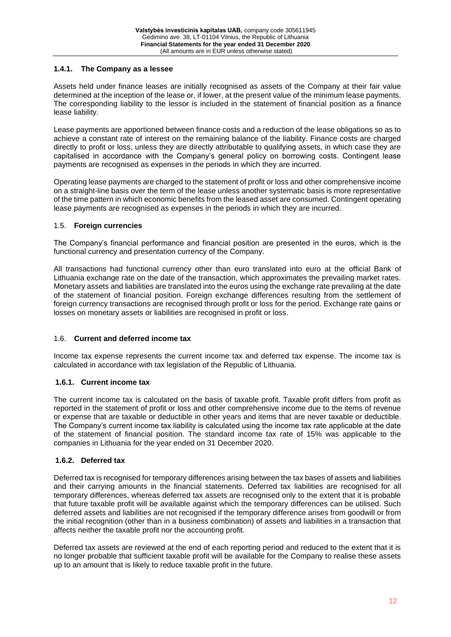### **1.4.1. The Company as a lessee**

Assets held under finance leases are initially recognised as assets of the Company at their fair value determined at the inception of the lease or, if lower, at the present value of the minimum lease payments. The corresponding liability to the lessor is included in the statement of financial position as a finance lease liability.

Lease payments are apportioned between finance costs and a reduction of the lease obligations so as to achieve a constant rate of interest on the remaining balance of the liability. Finance costs are charged directly to profit or loss, unless they are directly attributable to qualifying assets, in which case they are capitalised in accordance with the Company's general policy on borrowing costs. Contingent lease payments are recognised as expenses in the periods in which they are incurred.

Operating lease payments are charged to the statement of profit or loss and other comprehensive income on a straight-line basis over the term of the lease unless another systematic basis is more representative of the time pattern in which economic benefits from the leased asset are consumed. Contingent operating lease payments are recognised as expenses in the periods in which they are incurred.

# 1.5. **Foreign currencies**

The Company's financial performance and financial position are presented in the euros, which is the functional currency and presentation currency of the Company.

All transactions had functional currency other than euro translated into euro at the official Bank of Lithuania exchange rate on the date of the transaction, which approximates the prevailing market rates. Monetary assets and liabilities are translated into the euros using the exchange rate prevailing at the date of the statement of financial position. Foreign exchange differences resulting from the settlement of foreign currency transactions are recognised through profit or loss for the period. Exchange rate gains or losses on monetary assets or liabilities are recognised in profit or loss.

# 1.6. **Current and deferred income tax**

Income tax expense represents the current income tax and deferred tax expense. The income tax is calculated in accordance with tax legislation of the Republic of Lithuania.

### **1.6.1. Current income tax**

The current income tax is calculated on the basis of taxable profit. Taxable profit differs from profit as reported in the statement of profit or loss and other comprehensive income due to the items of revenue or expense that are taxable or deductible in other years and items that are never taxable or deductible. The Company's current income tax liability is calculated using the income tax rate applicable at the date of the statement of financial position. The standard income tax rate of 15% was applicable to the companies in Lithuania for the year ended on 31 December 2020.

### **1.6.2. Deferred tax**

Deferred tax is recognised for temporary differences arising between the tax bases of assets and liabilities and their carrying amounts in the financial statements. Deferred tax liabilities are recognised for all temporary differences, whereas deferred tax assets are recognised only to the extent that it is probable that future taxable profit will be available against which the temporary differences can be utilised. Such deferred assets and liabilities are not recognised if the temporary difference arises from goodwill or from the initial recognition (other than in a business combination) of assets and liabilities in a transaction that affects neither the taxable profit nor the accounting profit.

Deferred tax assets are reviewed at the end of each reporting period and reduced to the extent that it is no longer probable that sufficient taxable profit will be available for the Company to realise these assets up to an amount that is likely to reduce taxable profit in the future.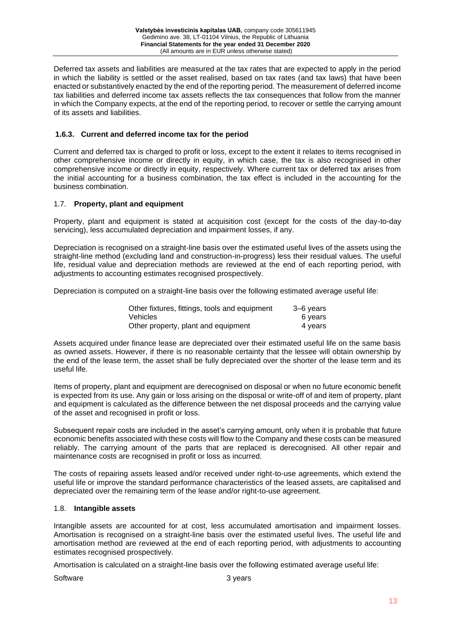Deferred tax assets and liabilities are measured at the tax rates that are expected to apply in the period in which the liability is settled or the asset realised, based on tax rates (and tax laws) that have been enacted or substantively enacted by the end of the reporting period. The measurement of deferred income tax liabilities and deferred income tax assets reflects the tax consequences that follow from the manner in which the Company expects, at the end of the reporting period, to recover or settle the carrying amount of its assets and liabilities.

### **1.6.3. Current and deferred income tax for the period**

Current and deferred tax is charged to profit or loss, except to the extent it relates to items recognised in other comprehensive income or directly in equity, in which case, the tax is also recognised in other comprehensive income or directly in equity, respectively. Where current tax or deferred tax arises from the initial accounting for a business combination, the tax effect is included in the accounting for the business combination.

#### 1.7. **Property, plant and equipment**

Property, plant and equipment is stated at acquisition cost (except for the costs of the day-to-day servicing), less accumulated depreciation and impairment losses, if any.

Depreciation is recognised on a straight-line basis over the estimated useful lives of the assets using the straight-line method (excluding land and construction-in-progress) less their residual values. The useful life, residual value and depreciation methods are reviewed at the end of each reporting period, with adjustments to accounting estimates recognised prospectively.

Depreciation is computed on a straight-line basis over the following estimated average useful life:

| Other fixtures, fittings, tools and equipment | 3–6 years |
|-----------------------------------------------|-----------|
| Vehicles                                      | 6 years   |
| Other property, plant and equipment           | 4 years   |

Assets acquired under finance lease are depreciated over their estimated useful life on the same basis as owned assets. However, if there is no reasonable certainty that the lessee will obtain ownership by the end of the lease term, the asset shall be fully depreciated over the shorter of the lease term and its useful life.

Items of property, plant and equipment are derecognised on disposal or when no future economic benefit is expected from its use. Any gain or loss arising on the disposal or write-off of and item of property, plant and equipment is calculated as the difference between the net disposal proceeds and the carrying value of the asset and recognised in profit or loss.

Subsequent repair costs are included in the asset's carrying amount, only when it is probable that future economic benefits associated with these costs will flow to the Company and these costs can be measured reliably. The carrying amount of the parts that are replaced is derecognised. All other repair and maintenance costs are recognised in profit or loss as incurred.

The costs of repairing assets leased and/or received under right-to-use agreements, which extend the useful life or improve the standard performance characteristics of the leased assets, are capitalised and depreciated over the remaining term of the lease and/or right-to-use agreement.

#### 1.8. **Intangible assets**

Intangible assets are accounted for at cost, less accumulated amortisation and impairment losses. Amortisation is recognised on a straight-line basis over the estimated useful lives. The useful life and amortisation method are reviewed at the end of each reporting period, with adjustments to accounting estimates recognised prospectively.

Amortisation is calculated on a straight-line basis over the following estimated average useful life:

Software 3 years 3 years 3 3 years 3 years 3 years 3 years 3 years 3 years 3 years 3 years 3 years 3 years 3 years 3 years 3 years 3 years 3 years 3 years 3 years 3 years 3 years 3 years 3 years 3 years 3 years 3 years 3 y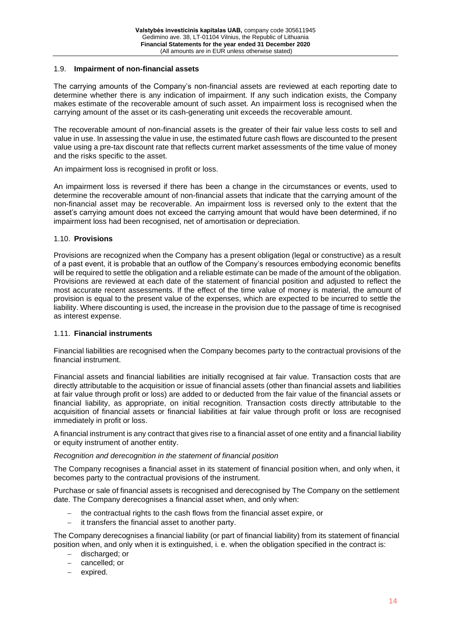### 1.9. **Impairment of non-financial assets**

The carrying amounts of the Company's non-financial assets are reviewed at each reporting date to determine whether there is any indication of impairment. If any such indication exists, the Company makes estimate of the recoverable amount of such asset. An impairment loss is recognised when the carrying amount of the asset or its cash-generating unit exceeds the recoverable amount.

The recoverable amount of non-financial assets is the greater of their fair value less costs to sell and value in use. In assessing the value in use, the estimated future cash flows are discounted to the present value using a pre-tax discount rate that reflects current market assessments of the time value of money and the risks specific to the asset.

An impairment loss is recognised in profit or loss.

An impairment loss is reversed if there has been a change in the circumstances or events, used to determine the recoverable amount of non-financial assets that indicate that the carrying amount of the non-financial asset may be recoverable. An impairment loss is reversed only to the extent that the asset's carrying amount does not exceed the carrying amount that would have been determined, if no impairment loss had been recognised, net of amortisation or depreciation.

#### 1.10. **Provisions**

Provisions are recognized when the Company has a present obligation (legal or constructive) as a result of a past event, it is probable that an outflow of the Company's resources embodying economic benefits will be required to settle the obligation and a reliable estimate can be made of the amount of the obligation. Provisions are reviewed at each date of the statement of financial position and adjusted to reflect the most accurate recent assessments. If the effect of the time value of money is material, the amount of provision is equal to the present value of the expenses, which are expected to be incurred to settle the liability. Where discounting is used, the increase in the provision due to the passage of time is recognised as interest expense.

#### 1.11. **Financial instruments**

Financial liabilities are recognised when the Company becomes party to the contractual provisions of the financial instrument.

Financial assets and financial liabilities are initially recognised at fair value. Transaction costs that are directly attributable to the acquisition or issue of financial assets (other than financial assets and liabilities at fair value through profit or loss) are added to or deducted from the fair value of the financial assets or financial liability, as appropriate, on initial recognition. Transaction costs directly attributable to the acquisition of financial assets or financial liabilities at fair value through profit or loss are recognised immediately in profit or loss.

A financial instrument is any contract that gives rise to a financial asset of one entity and a financial liability or equity instrument of another entity.

#### *Recognition and derecognition in the statement of financial position*

The Company recognises a financial asset in its statement of financial position when, and only when, it becomes party to the contractual provisions of the instrument.

Purchase or sale of financial assets is recognised and derecognised by The Company on the settlement date. The Company derecognises a financial asset when, and only when:

- the contractual rights to the cash flows from the financial asset expire, or
- − it transfers the financial asset to another party.

The Company derecognises a financial liability (or part of financial liability) from its statement of financial position when, and only when it is extinguished, i. e. when the obligation specified in the contract is:

- − discharged; or
- − cancelled; or
- − expired.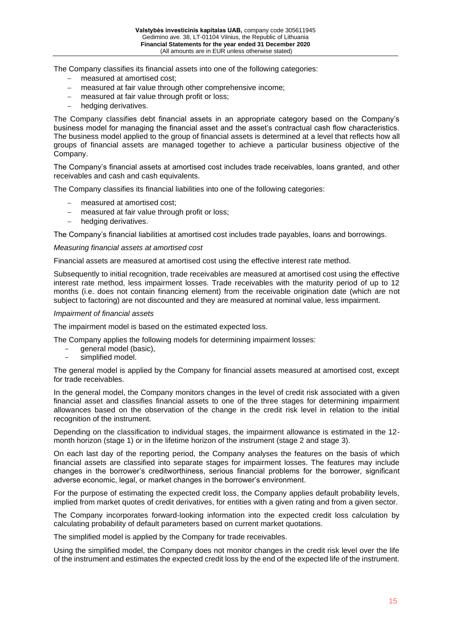The Company classifies its financial assets into one of the following categories:

- − measured at amortised cost;
- − measured at fair value through other comprehensive income;
- − measured at fair value through profit or loss;
- hedging derivatives.

The Company classifies debt financial assets in an appropriate category based on the Company's business model for managing the financial asset and the asset's contractual cash flow characteristics. The business model applied to the group of financial assets is determined at a level that reflects how all groups of financial assets are managed together to achieve a particular business objective of the Company.

The Company's financial assets at amortised cost includes trade receivables, loans granted, and other receivables and cash and cash equivalents.

The Company classifies its financial liabilities into one of the following categories:

- measured at amortised cost;
- − measured at fair value through profit or loss;
- − hedging derivatives.

The Company's financial liabilities at amortised cost includes trade payables, loans and borrowings.

#### *Measuring financial assets at amortised cost*

Financial assets are measured at amortised cost using the effective interest rate method.

Subsequently to initial recognition, trade receivables are measured at amortised cost using the effective interest rate method, less impairment losses. Trade receivables with the maturity period of up to 12 months (i.e. does not contain financing element) from the receivable origination date (which are not subject to factoring) are not discounted and they are measured at nominal value, less impairment.

#### *Impairment of financial assets*

The impairment model is based on the estimated expected loss.

The Company applies the following models for determining impairment losses:

- general model (basic),
- simplified model.

The general model is applied by the Company for financial assets measured at amortised cost, except for trade receivables.

In the general model, the Company monitors changes in the level of credit risk associated with a given financial asset and classifies financial assets to one of the three stages for determining impairment allowances based on the observation of the change in the credit risk level in relation to the initial recognition of the instrument.

Depending on the classification to individual stages, the impairment allowance is estimated in the 12 month horizon (stage 1) or in the lifetime horizon of the instrument (stage 2 and stage 3).

On each last day of the reporting period, the Company analyses the features on the basis of which financial assets are classified into separate stages for impairment losses. The features may include changes in the borrower's creditworthiness, serious financial problems for the borrower, significant adverse economic, legal, or market changes in the borrower's environment.

For the purpose of estimating the expected credit loss, the Company applies default probability levels, implied from market quotes of credit derivatives, for entities with a given rating and from a given sector.

The Company incorporates forward-looking information into the expected credit loss calculation by calculating probability of default parameters based on current market quotations.

The simplified model is applied by the Company for trade receivables.

Using the simplified model, the Company does not monitor changes in the credit risk level over the life of the instrument and estimates the expected credit loss by the end of the expected life of the instrument.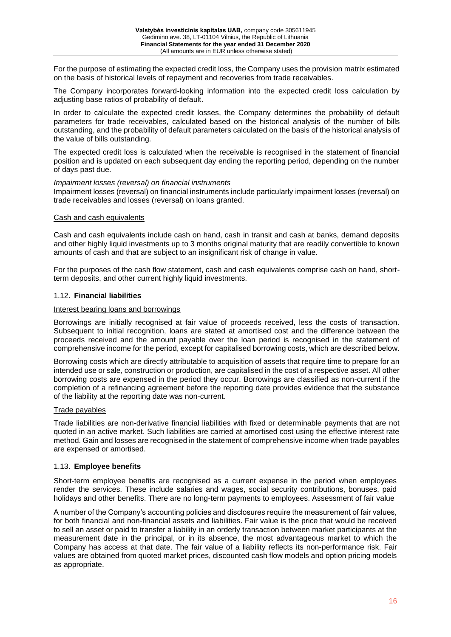For the purpose of estimating the expected credit loss, the Company uses the provision matrix estimated on the basis of historical levels of repayment and recoveries from trade receivables.

The Company incorporates forward-looking information into the expected credit loss calculation by adjusting base ratios of probability of default.

In order to calculate the expected credit losses, the Company determines the probability of default parameters for trade receivables, calculated based on the historical analysis of the number of bills outstanding, and the probability of default parameters calculated on the basis of the historical analysis of the value of bills outstanding.

The expected credit loss is calculated when the receivable is recognised in the statement of financial position and is updated on each subsequent day ending the reporting period, depending on the number of days past due.

#### *Impairment losses (reversal) on financial instruments*

Impairment losses (reversal) on financial instruments include particularly impairment losses (reversal) on trade receivables and losses (reversal) on loans granted.

#### Cash and cash equivalents

Cash and cash equivalents include cash on hand, cash in transit and cash at banks, demand deposits and other highly liquid investments up to 3 months original maturity that are readily convertible to known amounts of cash and that are subject to an insignificant risk of change in value.

For the purposes of the cash flow statement, cash and cash equivalents comprise cash on hand, shortterm deposits, and other current highly liquid investments.

### 1.12. **Financial liabilities**

#### Interest bearing loans and borrowings

Borrowings are initially recognised at fair value of proceeds received, less the costs of transaction. Subsequent to initial recognition, loans are stated at amortised cost and the difference between the proceeds received and the amount payable over the loan period is recognised in the statement of comprehensive income for the period, except for capitalised borrowing costs, which are described below.

Borrowing costs which are directly attributable to acquisition of assets that require time to prepare for an intended use or sale, construction or production, are capitalised in the cost of a respective asset. All other borrowing costs are expensed in the period they occur. Borrowings are classified as non-current if the completion of a refinancing agreement before the reporting date provides evidence that the substance of the liability at the reporting date was non-current.

#### Trade payables

Trade liabilities are non-derivative financial liabilities with fixed or determinable payments that are not quoted in an active market. Such liabilities are carried at amortised cost using the effective interest rate method. Gain and losses are recognised in the statement of comprehensive income when trade payables are expensed or amortised.

### 1.13. **Employee benefits**

Short-term employee benefits are recognised as a current expense in the period when employees render the services. These include salaries and wages, social security contributions, bonuses, paid holidays and other benefits. There are no long-term payments to employees. Assessment of fair value

A number of the Company's accounting policies and disclosures require the measurement of fair values, for both financial and non-financial assets and liabilities. Fair value is the price that would be received to sell an asset or paid to transfer a liability in an orderly transaction between market participants at the measurement date in the principal, or in its absence, the most advantageous market to which the Company has access at that date. The fair value of a liability reflects its non-performance risk. Fair values are obtained from quoted market prices, discounted cash flow models and option pricing models as appropriate.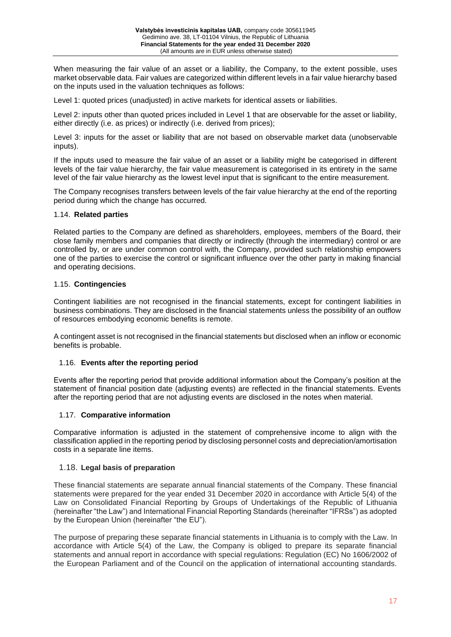When measuring the fair value of an asset or a liability, the Company, to the extent possible, uses market observable data. Fair values are categorized within different levels in a fair value hierarchy based on the inputs used in the valuation techniques as follows:

Level 1: quoted prices (unadjusted) in active markets for identical assets or liabilities.

Level 2: inputs other than quoted prices included in Level 1 that are observable for the asset or liability, either directly (i.e. as prices) or indirectly (i.e. derived from prices);

Level 3: inputs for the asset or liability that are not based on observable market data (unobservable inputs).

If the inputs used to measure the fair value of an asset or a liability might be categorised in different levels of the fair value hierarchy, the fair value measurement is categorised in its entirety in the same level of the fair value hierarchy as the lowest level input that is significant to the entire measurement.

The Company recognises transfers between levels of the fair value hierarchy at the end of the reporting period during which the change has occurred.

#### 1.14. **Related parties**

Related parties to the Company are defined as shareholders, employees, members of the Board, their close family members and companies that directly or indirectly (through the intermediary) control or are controlled by, or are under common control with, the Company, provided such relationship empowers one of the parties to exercise the control or significant influence over the other party in making financial and operating decisions.

#### 1.15. **Contingencies**

Contingent liabilities are not recognised in the financial statements, except for contingent liabilities in business combinations. They are disclosed in the financial statements unless the possibility of an outflow of resources embodying economic benefits is remote.

A contingent asset is not recognised in the financial statements but disclosed when an inflow or economic benefits is probable.

### 1.16. **Events after the reporting period**

Events after the reporting period that provide additional information about the Company's position at the statement of financial position date (adjusting events) are reflected in the financial statements. Events after the reporting period that are not adjusting events are disclosed in the notes when material.

### 1.17. **Comparative information**

Comparative information is adjusted in the statement of comprehensive income to align with the classification applied in the reporting period by disclosing personnel costs and depreciation/amortisation costs in a separate line items.

# 1.18. **Legal basis of preparation**

These financial statements are separate annual financial statements of the Company. These financial statements were prepared for the year ended 31 December 2020 in accordance with Article 5(4) of the Law on Consolidated Financial Reporting by Groups of Undertakings of the Republic of Lithuania (hereinafter "the Law") and International Financial Reporting Standards (hereinafter "IFRSs") as adopted by the European Union (hereinafter "the EU").

The purpose of preparing these separate financial statements in Lithuania is to comply with the Law. In accordance with Article 5(4) of the Law, the Company is obliged to prepare its separate financial statements and annual report in accordance with special regulations: Regulation (EC) No 1606/2002 of the European Parliament and of the Council on the application of international accounting standards.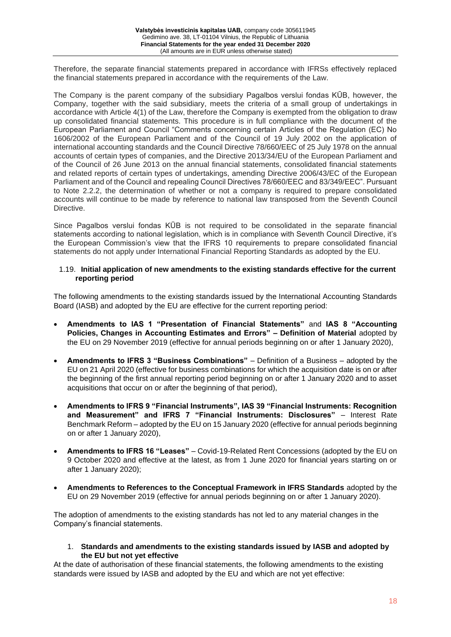Therefore, the separate financial statements prepared in accordance with IFRSs effectively replaced the financial statements prepared in accordance with the requirements of the Law.

The Company is the parent company of the subsidiary Pagalbos verslui fondas KŪB, however, the Company, together with the said subsidiary, meets the criteria of a small group of undertakings in accordance with Article 4(1) of the Law, therefore the Company is exempted from the obligation to draw up consolidated financial statements. This procedure is in full compliance with the document of the European Parliament and Council "Comments concerning certain Articles of the Regulation (EC) No 1606/2002 of the European Parliament and of the Council of 19 July 2002 on the application of international accounting standards and the Council Directive 78/660/EEC of 25 July 1978 on the annual accounts of certain types of companies, and the Directive 2013/34/EU of the European Parliament and of the Council of 26 June 2013 on the annual financial statements, consolidated financial statements and related reports of certain types of undertakings, amending Directive 2006/43/EC of the European Parliament and of the Council and repealing Council Directives 78/660/EEC and 83/349/EEC". Pursuant to Note 2.2.2, the determination of whether or not a company is required to prepare consolidated accounts will continue to be made by reference to national law transposed from the Seventh Council Directive.

Since Pagalbos verslui fondas KŪB is not required to be consolidated in the separate financial statements according to national legislation, which is in compliance with Seventh Council Directive, it's the European Commission's view that the IFRS 10 requirements to prepare consolidated financial statements do not apply under International Financial Reporting Standards as adopted by the EU.

#### 1.19. **Initial application of new amendments to the existing standards effective for the current reporting period**

The following amendments to the existing standards issued by the International Accounting Standards Board (IASB) and adopted by the EU are effective for the current reporting period:

- **Amendments to IAS 1 "Presentation of Financial Statements"** and **IAS 8 "Accounting Policies, Changes in Accounting Estimates and Errors" – Definition of Material** adopted by the EU on 29 November 2019 (effective for annual periods beginning on or after 1 January 2020),
- **Amendments to IFRS 3 "Business Combinations"** Definition of a Business adopted by the EU on 21 April 2020 (effective for business combinations for which the acquisition date is on or after the beginning of the first annual reporting period beginning on or after 1 January 2020 and to asset acquisitions that occur on or after the beginning of that period),
- **Amendments to IFRS 9 "Financial Instruments", IAS 39 "Financial Instruments: Recognition and Measurement" and IFRS 7 "Financial Instruments: Disclosures"** – Interest Rate Benchmark Reform – adopted by the EU on 15 January 2020 (effective for annual periods beginning on or after 1 January 2020),
- **Amendments to IFRS 16 "Leases"** Covid-19-Related Rent Concessions (adopted by the EU on 9 October 2020 and effective at the latest, as from 1 June 2020 for financial years starting on or after 1 January 2020);
- **Amendments to References to the Conceptual Framework in IFRS Standards** adopted by the EU on 29 November 2019 (effective for annual periods beginning on or after 1 January 2020).

The adoption of amendments to the existing standards has not led to any material changes in the Company's financial statements.

1. **Standards and amendments to the existing standards issued by IASB and adopted by the EU but not yet effective**

At the date of authorisation of these financial statements, the following amendments to the existing standards were issued by IASB and adopted by the EU and which are not yet effective: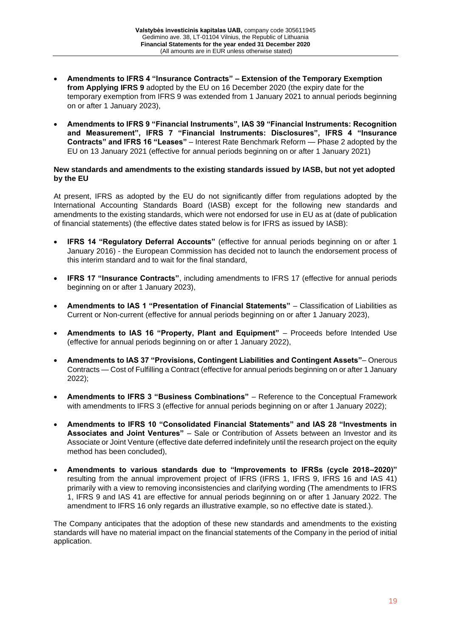- **Amendments to IFRS 4 "Insurance Contracts" – Extension of the Temporary Exemption from Applying IFRS 9** adopted by the EU on 16 December 2020 (the expiry date for the temporary exemption from IFRS 9 was extended from 1 January 2021 to annual periods beginning on or after 1 January 2023),
- **Amendments to IFRS 9 "Financial Instruments", IAS 39 "Financial Instruments: Recognition and Measurement", IFRS 7 "Financial Instruments: Disclosures", IFRS 4 "Insurance Contracts" and IFRS 16 "Leases"** – Interest Rate Benchmark Reform — Phase 2 adopted by the EU on 13 January 2021 (effective for annual periods beginning on or after 1 January 2021)

### **New standards and amendments to the existing standards issued by IASB, but not yet adopted by the EU**

At present, IFRS as adopted by the EU do not significantly differ from regulations adopted by the International Accounting Standards Board (IASB) except for the following new standards and amendments to the existing standards, which were not endorsed for use in EU as at (date of publication of financial statements) (the effective dates stated below is for IFRS as issued by IASB):

- **IFRS 14 "Regulatory Deferral Accounts"** (effective for annual periods beginning on or after 1 January 2016) - the European Commission has decided not to launch the endorsement process of this interim standard and to wait for the final standard,
- **IFRS 17 "Insurance Contracts"**, including amendments to IFRS 17 (effective for annual periods beginning on or after 1 January 2023),
- **Amendments to IAS 1 "Presentation of Financial Statements"** Classification of Liabilities as Current or Non-current (effective for annual periods beginning on or after 1 January 2023),
- **Amendments to IAS 16 "Property, Plant and Equipment"** Proceeds before Intended Use (effective for annual periods beginning on or after 1 January 2022),
- **Amendments to IAS 37 "Provisions, Contingent Liabilities and Contingent Assets"** Onerous Contracts — Cost of Fulfilling a Contract (effective for annual periods beginning on or after 1 January 2022);
- **Amendments to IFRS 3 "Business Combinations"** Reference to the Conceptual Framework with amendments to IFRS 3 (effective for annual periods beginning on or after 1 January 2022);
- **Amendments to IFRS 10 "Consolidated Financial Statements" and IAS 28 "Investments in Associates and Joint Ventures"** – Sale or Contribution of Assets between an Investor and its Associate or Joint Venture (effective date deferred indefinitely until the research project on the equity method has been concluded),
- **Amendments to various standards due to "Improvements to IFRSs (cycle 2018–2020)"** resulting from the annual improvement project of IFRS (IFRS 1, IFRS 9, IFRS 16 and IAS 41) primarily with a view to removing inconsistencies and clarifying wording (The amendments to IFRS 1, IFRS 9 and IAS 41 are effective for annual periods beginning on or after 1 January 2022. The amendment to IFRS 16 only regards an illustrative example, so no effective date is stated.).

The Company anticipates that the adoption of these new standards and amendments to the existing standards will have no material impact on the financial statements of the Company in the period of initial application.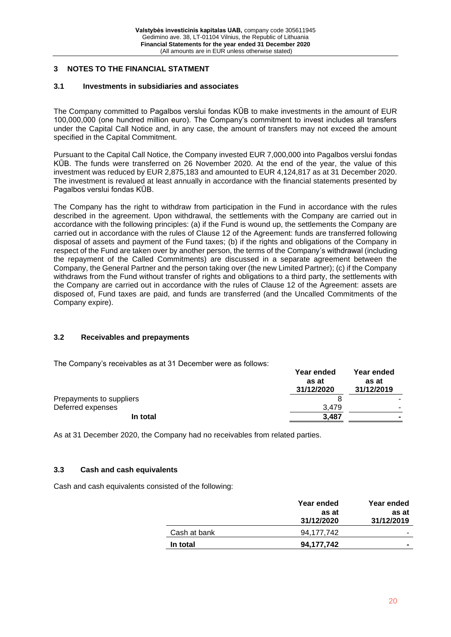# **3 NOTES TO THE FINANCIAL STATMENT**

### **3.1 Investments in subsidiaries and associates**

The Company committed to Pagalbos verslui fondas KŪB to make investments in the amount of EUR 100,000,000 (one hundred million euro). The Company's commitment to invest includes all transfers under the Capital Call Notice and, in any case, the amount of transfers may not exceed the amount specified in the Capital Commitment.

Pursuant to the Capital Call Notice, the Company invested EUR 7,000,000 into Pagalbos verslui fondas KŪB. The funds were transferred on 26 November 2020. At the end of the year, the value of this investment was reduced by EUR 2,875,183 and amounted to EUR 4,124,817 as at 31 December 2020. The investment is revalued at least annually in accordance with the financial statements presented by Pagalbos verslui fondas KŪB.

The Company has the right to withdraw from participation in the Fund in accordance with the rules described in the agreement. Upon withdrawal, the settlements with the Company are carried out in accordance with the following principles: (a) if the Fund is wound up, the settlements the Company are carried out in accordance with the rules of Clause 12 of the Agreement: funds are transferred following disposal of assets and payment of the Fund taxes; (b) if the rights and obligations of the Company in respect of the Fund are taken over by another person, the terms of the Company's withdrawal (including the repayment of the Called Commitments) are discussed in a separate agreement between the Company, the General Partner and the person taking over (the new Limited Partner); (c) if the Company withdraws from the Fund without transfer of rights and obligations to a third party, the settlements with the Company are carried out in accordance with the rules of Clause 12 of the Agreement: assets are disposed of, Fund taxes are paid, and funds are transferred (and the Uncalled Commitments of the Company expire).

### **3.2 Receivables and prepayments**

The Company's receivables as at 31 December were as follows:

|                          | Year ended<br>as at<br>31/12/2020 | Year ended<br>as at<br>31/12/2019 |
|--------------------------|-----------------------------------|-----------------------------------|
| Prepayments to suppliers |                                   |                                   |
| Deferred expenses        | 3.479                             | ۰                                 |
| In total                 | 3.487                             |                                   |

As at 31 December 2020, the Company had no receivables from related parties.

#### **3.3 Cash and cash equivalents**

Cash and cash equivalents consisted of the following:

|              | Year ended<br>as at | Year ended<br>as at      |
|--------------|---------------------|--------------------------|
|              | 31/12/2020          | 31/12/2019               |
| Cash at bank | 94.177.742          | $\overline{\phantom{a}}$ |
| In total     | 94,177,742          |                          |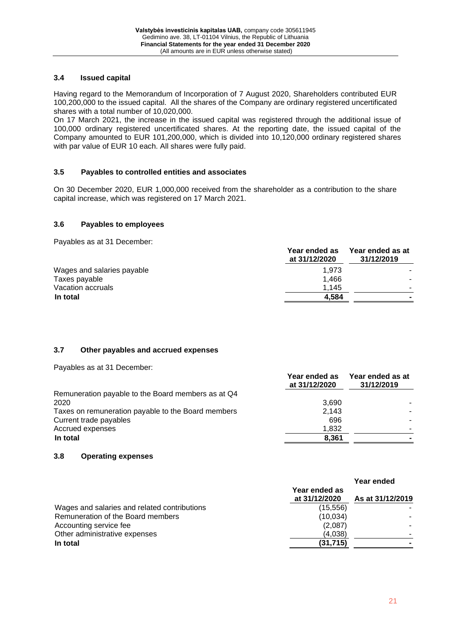### **3.4 Issued capital**

Having regard to the Memorandum of Incorporation of 7 August 2020, Shareholders contributed EUR 100,200,000 to the issued capital. All the shares of the Company are ordinary registered uncertificated shares with a total number of 10,020,000.

On 17 March 2021, the increase in the issued capital was registered through the additional issue of 100,000 ordinary registered uncertificated shares. At the reporting date, the issued capital of the Company amounted to EUR 101,200,000, which is divided into 10,120,000 ordinary registered shares with par value of EUR 10 each. All shares were fully paid.

# **3.5 Payables to controlled entities and associates**

On 30 December 2020, EUR 1,000,000 received from the shareholder as a contribution to the share capital increase, which was registered on 17 March 2021.

# **3.6 Payables to employees**

Payables as at 31 December:

|                            | Year ended as<br>at 31/12/2020 | Year ended as at<br>31/12/2019 |
|----------------------------|--------------------------------|--------------------------------|
| Wages and salaries payable | 1.973                          |                                |
| Taxes payable              | 1.466                          |                                |
| Vacation accruals          | 1.145                          |                                |
| In total                   | 4.584                          |                                |

# **3.7 Other payables and accrued expenses**

Payables as at 31 December:

|                                                    | Year ended as<br>at 31/12/2020 | Year ended as at<br>31/12/2019 |
|----------------------------------------------------|--------------------------------|--------------------------------|
| Remuneration payable to the Board members as at Q4 |                                |                                |
| 2020                                               | 3.690                          |                                |
| Taxes on remuneration payable to the Board members | 2,143                          |                                |
| Current trade payables                             | 696                            |                                |
| Accrued expenses                                   | 1.832                          |                                |
| In total                                           | 8.361                          |                                |

### **3.8 Operating expenses**

|                                              |                                | Year ended       |
|----------------------------------------------|--------------------------------|------------------|
|                                              | Year ended as<br>at 31/12/2020 | As at 31/12/2019 |
| Wages and salaries and related contributions | (15, 556)                      |                  |
| Remuneration of the Board members            | (10, 034)                      |                  |
| Accounting service fee                       | (2,087)                        |                  |
| Other administrative expenses                | (4,038)                        |                  |
| In total                                     | (31, 715)                      |                  |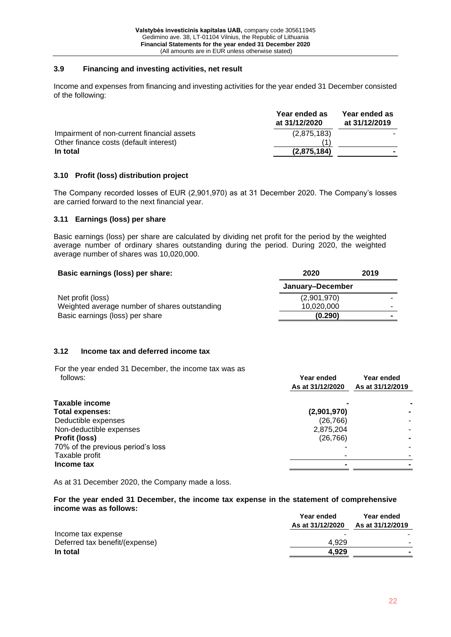### **3.9 Financing and investing activities, net result**

Income and expenses from financing and investing activities for the year ended 31 December consisted of the following:

|                                            | Year ended as<br>at 31/12/2020 | Year ended as<br>at 31/12/2019 |
|--------------------------------------------|--------------------------------|--------------------------------|
| Impairment of non-current financial assets | (2,875,183)                    |                                |
| Other finance costs (default interest)     |                                |                                |
| In total                                   | (2,875,184)                    |                                |

### **3.10 Profit (loss) distribution project**

The Company recorded losses of EUR (2,901,970) as at 31 December 2020. The Company's losses are carried forward to the next financial year.

### **3.11 Earnings (loss) per share**

Basic earnings (loss) per share are calculated by dividing net profit for the period by the weighted average number of ordinary shares outstanding during the period. During 2020, the weighted average number of shares was 10,020,000.

| Basic earnings (loss) per share:              | 2020             | 2019           |  |
|-----------------------------------------------|------------------|----------------|--|
|                                               | January-December |                |  |
| Net profit (loss)                             | (2,901,970)      |                |  |
| Weighted average number of shares outstanding | 10.020.000       | ۰              |  |
| Basic earnings (loss) per share               | (0.290)          | $\blacksquare$ |  |

### **3.12 Income tax and deferred income tax**

For the year ended 31 December, the income tax was as follows: **Year ended Year ended**

|                                   | As at 31/12/2020 | As at 31/12/2019 |
|-----------------------------------|------------------|------------------|
| <b>Taxable income</b>             |                  |                  |
| <b>Total expenses:</b>            | (2,901,970)      |                  |
| Deductible expenses               | (26, 766)        |                  |
| Non-deductible expenses           | 2,875,204        |                  |
| <b>Profit (loss)</b>              | (26, 766)        |                  |
| 70% of the previous period's loss |                  |                  |
| Taxable profit                    |                  |                  |
| Income tax                        |                  |                  |
|                                   |                  |                  |

As at 31 December 2020, the Company made a loss.

**For the year ended 31 December, the income tax expense in the statement of comprehensive income was as follows:**

|                                | Year ended<br>As at 31/12/2020 | <b>Year ended</b><br>As at 31/12/2019 |
|--------------------------------|--------------------------------|---------------------------------------|
| Income tax expense             | -                              |                                       |
| Deferred tax benefit/(expense) | 4.929                          | -                                     |
| In total                       | 4.929                          |                                       |
|                                |                                |                                       |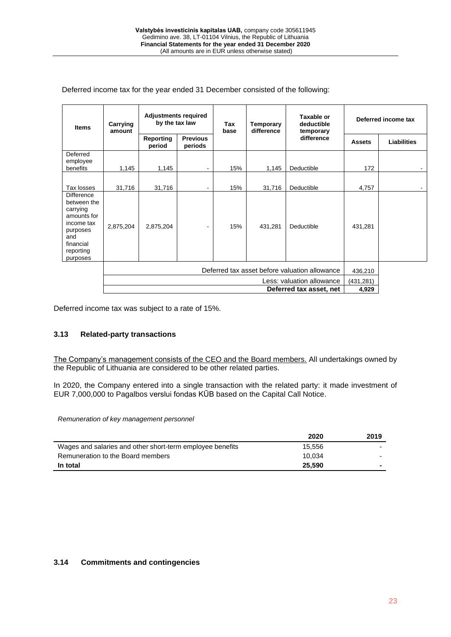| <b>Items</b>                                                                                                                       | Carrying<br>amount                            |                            | <b>Adjustments required</b><br>by the tax law |     | <b>Temporary</b><br>difference | <b>Taxable or</b><br>deductible<br>temporary | Deferred income tax |                    |
|------------------------------------------------------------------------------------------------------------------------------------|-----------------------------------------------|----------------------------|-----------------------------------------------|-----|--------------------------------|----------------------------------------------|---------------------|--------------------|
|                                                                                                                                    |                                               | <b>Reporting</b><br>period | <b>Previous</b><br>periods                    |     |                                | difference                                   | <b>Assets</b>       | <b>Liabilities</b> |
| Deferred<br>employee<br>benefits                                                                                                   | 1,145                                         | 1,145                      | $\qquad \qquad \blacksquare$                  | 15% | 1,145                          | Deductible                                   | 172                 |                    |
| Tax losses                                                                                                                         | 31,716                                        | 31,716                     |                                               | 15% | 31,716                         | Deductible                                   | 4,757               |                    |
| <b>Difference</b><br>between the<br>carrying<br>amounts for<br>income tax<br>purposes<br>and<br>financial<br>reporting<br>purposes | 2,875,204                                     | 2,875,204                  |                                               | 15% | 431,281                        | Deductible                                   | 431,281             |                    |
|                                                                                                                                    | Deferred tax asset before valuation allowance |                            |                                               |     |                                | 436,210                                      |                     |                    |
|                                                                                                                                    | Less: valuation allowance                     |                            |                                               |     |                                | (431, 281)                                   |                     |                    |
|                                                                                                                                    | Deferred tax asset, net                       |                            |                                               |     |                                | 4,929                                        |                     |                    |

Deferred income tax for the year ended 31 December consisted of the following:

Deferred income tax was subject to a rate of 15%.

### **3.13 Related-party transactions**

The Company's management consists of the CEO and the Board members. All undertakings owned by the Republic of Lithuania are considered to be other related parties.

In 2020, the Company entered into a single transaction with the related party: it made investment of EUR 7,000,000 to Pagalbos verslui fondas KŪB based on the Capital Call Notice.

*Remuneration of key management personnel*

|                                                           | 2020   | 2019 |
|-----------------------------------------------------------|--------|------|
| Wages and salaries and other short-term employee benefits | 15.556 | -    |
| Remuneration to the Board members                         | 10.034 | -    |
| In total                                                  | 25.590 |      |

#### **3.14 Commitments and contingencies**